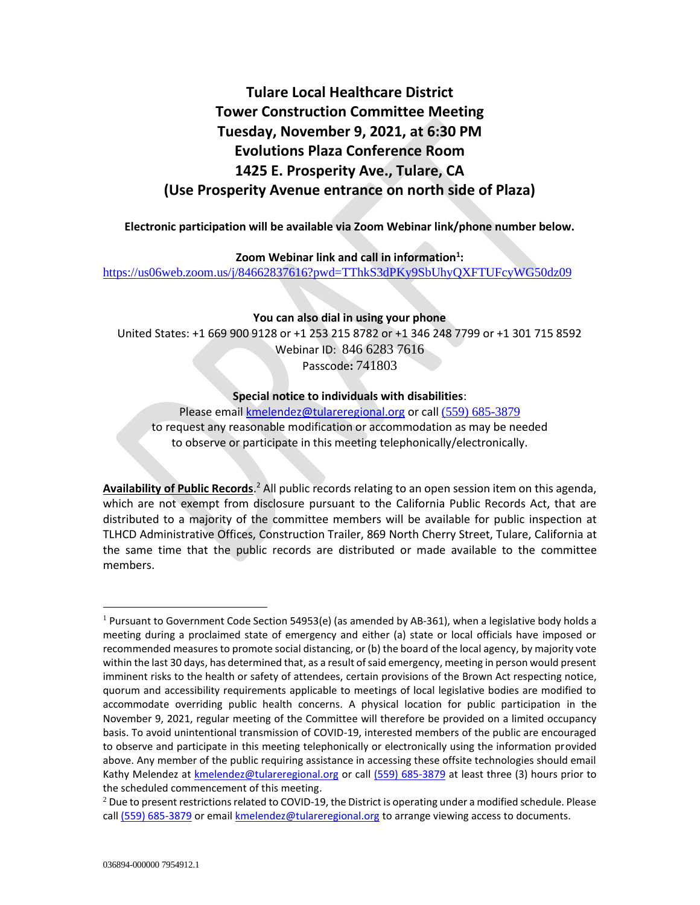# **Tulare Local Healthcare District Tower Construction Committee Meeting Tuesday, November 9, 2021, at 6:30 PM Evolutions Plaza Conference Room 1425 E. Prosperity Ave., Tulare, CA (Use Prosperity Avenue entrance on north side of Plaza)**

**Electronic participation will be available via Zoom Webinar link/phone number below.**

**Zoom Webinar link and call in information<sup>1</sup> :**

<https://us06web.zoom.us/j/84662837616?pwd=TThkS3dPKy9SbUhyQXFTUFcyWG50dz09>

**You can also dial in using your phone**

United States: +1 669 900 9128 or +1 253 215 8782 or +1 346 248 7799 or +1 301 715 8592 Webinar ID: 846 6283 7616 Passcode**:** 741803

### **Special notice to individuals with disabilities**:

Please email [kmelendez@tulareregional.org](mailto:kmelendez@tulareregional.org) or call (559) 685-3879 to request any reasonable modification or accommodation as may be needed to observe or participate in this meeting telephonically/electronically.

Availability of Public Records.<sup>2</sup> All public records relating to an open session item on this agenda, which are not exempt from disclosure pursuant to the California Public Records Act, that are distributed to a majority of the committee members will be available for public inspection at TLHCD Administrative Offices, Construction Trailer, 869 North Cherry Street, Tulare, California at the same time that the public records are distributed or made available to the committee members.

 $1$  Pursuant to Government Code Section 54953(e) (as amended by AB-361), when a legislative body holds a meeting during a proclaimed state of emergency and either (a) state or local officials have imposed or recommended measures to promote social distancing, or (b) the board of the local agency, by majority vote within the last 30 days, has determined that, as a result of said emergency, meeting in person would present imminent risks to the health or safety of attendees, certain provisions of the Brown Act respecting notice, quorum and accessibility requirements applicable to meetings of local legislative bodies are modified to accommodate overriding public health concerns. A physical location for public participation in the November 9, 2021, regular meeting of the Committee will therefore be provided on a limited occupancy basis. To avoid unintentional transmission of COVID-19, interested members of the public are encouraged to observe and participate in this meeting telephonically or electronically using the information provided above. Any member of the public requiring assistance in accessing these offsite technologies should email Kathy Melendez at [kmelendez@tulareregional.org](mailto:sormonde@tulareregional.org) or call (559) 685-3879 at least three (3) hours prior to the scheduled commencement of this meeting.

 $^2$  Due to present restrictions related to COVID-19, the District is operating under a modified schedule. Please call (559) 685-3879 or email *kmelendez@tulareregional.org* to arrange viewing access to documents.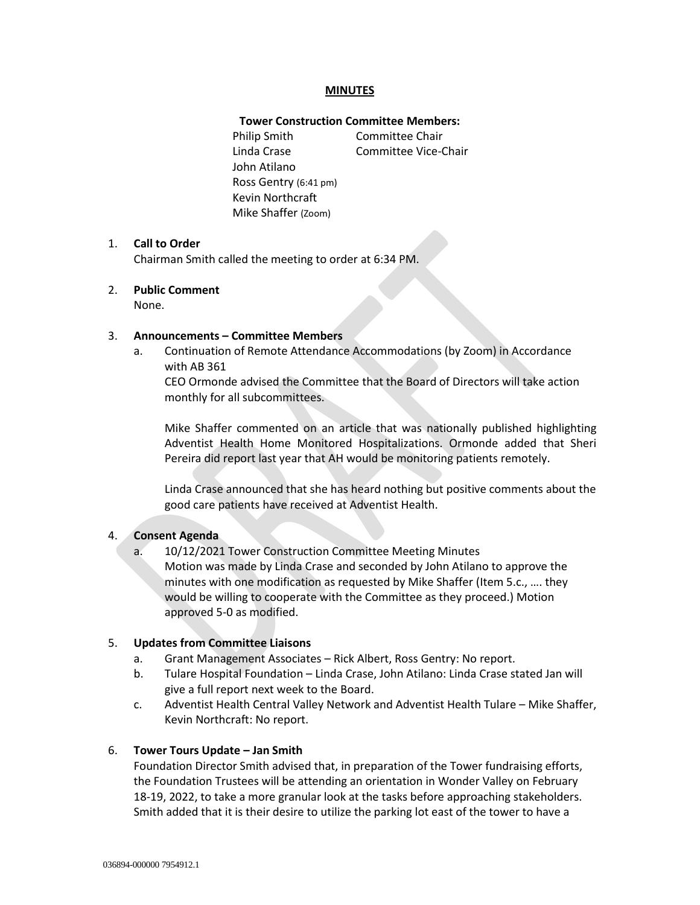#### **MINUTES**

#### **Tower Construction Committee Members:**

Philip Smith Committee Chair Linda Crase Committee Vice-Chair John Atilano Ross Gentry (6:41 pm) Kevin Northcraft Mike Shaffer (Zoom)

#### 1. **Call to Order**

Chairman Smith called the meeting to order at 6:34 PM.

#### 2. **Public Comment**

None.

#### 3. **Announcements – Committee Members**

a. Continuation of Remote Attendance Accommodations (by Zoom) in Accordance with AB 361

CEO Ormonde advised the Committee that the Board of Directors will take action monthly for all subcommittees.

Mike Shaffer commented on an article that was nationally published highlighting Adventist Health Home Monitored Hospitalizations. Ormonde added that Sheri Pereira did report last year that AH would be monitoring patients remotely.

Linda Crase announced that she has heard nothing but positive comments about the good care patients have received at Adventist Health.

#### 4. **Consent Agenda**

a. 10/12/2021 Tower Construction Committee Meeting Minutes Motion was made by Linda Crase and seconded by John Atilano to approve the minutes with one modification as requested by Mike Shaffer (Item 5.c., …. they would be willing to cooperate with the Committee as they proceed.) Motion approved 5-0 as modified.

#### 5. **Updates from Committee Liaisons**

- a. Grant Management Associates Rick Albert, Ross Gentry: No report.
- b. Tulare Hospital Foundation Linda Crase, John Atilano: Linda Crase stated Jan will give a full report next week to the Board.
- c. Adventist Health Central Valley Network and Adventist Health Tulare Mike Shaffer, Kevin Northcraft: No report.

#### 6. **Tower Tours Update – Jan Smith**

Foundation Director Smith advised that, in preparation of the Tower fundraising efforts, the Foundation Trustees will be attending an orientation in Wonder Valley on February 18-19, 2022, to take a more granular look at the tasks before approaching stakeholders. Smith added that it is their desire to utilize the parking lot east of the tower to have a